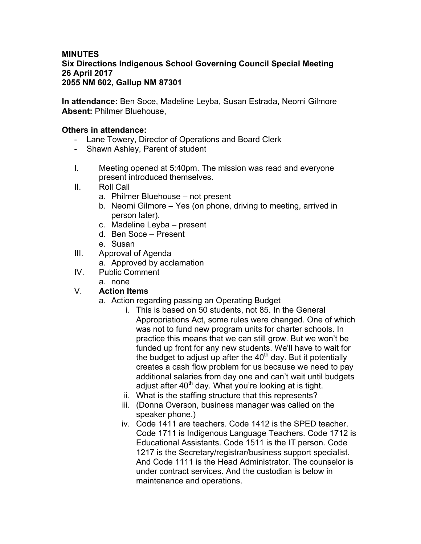## **MINUTES Six Directions Indigenous School Governing Council Special Meeting 26 April 2017 2055 NM 602, Gallup NM 87301**

**In attendance:** Ben Soce, Madeline Leyba, Susan Estrada, Neomi Gilmore **Absent:** Philmer Bluehouse,

## **Others in attendance:**

- Lane Towery, Director of Operations and Board Clerk
- Shawn Ashley, Parent of student
- I. Meeting opened at 5:40pm. The mission was read and everyone present introduced themselves.
- II. Roll Call
	- a. Philmer Bluehouse not present
	- b. Neomi Gilmore Yes (on phone, driving to meeting, arrived in person later).
	- c. Madeline Leyba present
	- d. Ben Soce Present
	- e. Susan
- III. Approval of Agenda
	- a. Approved by acclamation
- IV. Public Comment
	- a. none

## V. **Action Items**

- a. Action regarding passing an Operating Budget
	- i. This is based on 50 students, not 85. In the General Appropriations Act, some rules were changed. One of which was not to fund new program units for charter schools. In practice this means that we can still grow. But we won't be funded up front for any new students. We'll have to wait for the budget to adjust up after the  $40<sup>th</sup>$  day. But it potentially creates a cash flow problem for us because we need to pay additional salaries from day one and can't wait until budgets adjust after 40<sup>th</sup> day. What you're looking at is tight.
	- ii. What is the staffing structure that this represents?
	- iii. (Donna Overson, business manager was called on the speaker phone.)
	- iv. Code 1411 are teachers. Code 1412 is the SPED teacher. Code 1711 is Indigenous Language Teachers. Code 1712 is Educational Assistants. Code 1511 is the IT person. Code 1217 is the Secretary/registrar/business support specialist. And Code 1111 is the Head Administrator. The counselor is under contract services. And the custodian is below in maintenance and operations.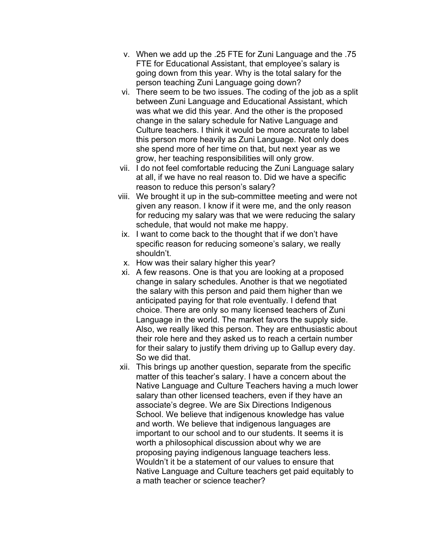- v. When we add up the .25 FTE for Zuni Language and the .75 FTE for Educational Assistant, that employee's salary is going down from this year. Why is the total salary for the person teaching Zuni Language going down?
- vi. There seem to be two issues. The coding of the job as a split between Zuni Language and Educational Assistant, which was what we did this year. And the other is the proposed change in the salary schedule for Native Language and Culture teachers. I think it would be more accurate to label this person more heavily as Zuni Language. Not only does she spend more of her time on that, but next year as we grow, her teaching responsibilities will only grow.
- vii. I do not feel comfortable reducing the Zuni Language salary at all, if we have no real reason to. Did we have a specific reason to reduce this person's salary?
- viii. We brought it up in the sub-committee meeting and were not given any reason. I know if it were me, and the only reason for reducing my salary was that we were reducing the salary schedule, that would not make me happy.
- ix. I want to come back to the thought that if we don't have specific reason for reducing someone's salary, we really shouldn't.
- x. How was their salary higher this year?
- xi. A few reasons. One is that you are looking at a proposed change in salary schedules. Another is that we negotiated the salary with this person and paid them higher than we anticipated paying for that role eventually. I defend that choice. There are only so many licensed teachers of Zuni Language in the world. The market favors the supply side. Also, we really liked this person. They are enthusiastic about their role here and they asked us to reach a certain number for their salary to justify them driving up to Gallup every day. So we did that.
- xii. This brings up another question, separate from the specific matter of this teacher's salary. I have a concern about the Native Language and Culture Teachers having a much lower salary than other licensed teachers, even if they have an associate's degree. We are Six Directions Indigenous School. We believe that indigenous knowledge has value and worth. We believe that indigenous languages are important to our school and to our students. It seems it is worth a philosophical discussion about why we are proposing paying indigenous language teachers less. Wouldn't it be a statement of our values to ensure that Native Language and Culture teachers get paid equitably to a math teacher or science teacher?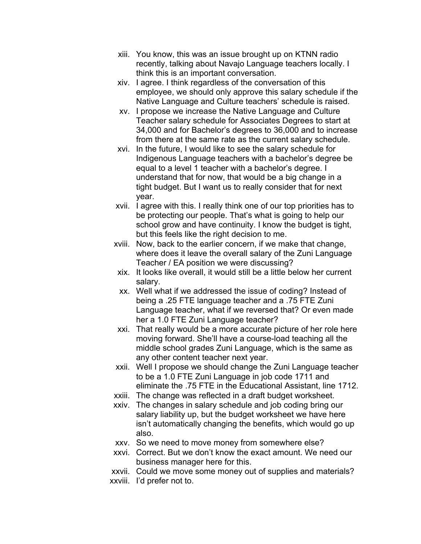- xiii. You know, this was an issue brought up on KTNN radio recently, talking about Navajo Language teachers locally. I think this is an important conversation.
- xiv. I agree. I think regardless of the conversation of this employee, we should only approve this salary schedule if the Native Language and Culture teachers' schedule is raised.
- xv. I propose we increase the Native Language and Culture Teacher salary schedule for Associates Degrees to start at 34,000 and for Bachelor's degrees to 36,000 and to increase from there at the same rate as the current salary schedule.
- xvi. In the future, I would like to see the salary schedule for Indigenous Language teachers with a bachelor's degree be equal to a level 1 teacher with a bachelor's degree. I understand that for now, that would be a big change in a tight budget. But I want us to really consider that for next year.
- xvii. I agree with this. I really think one of our top priorities has to be protecting our people. That's what is going to help our school grow and have continuity. I know the budget is tight, but this feels like the right decision to me.
- xviii. Now, back to the earlier concern, if we make that change, where does it leave the overall salary of the Zuni Language Teacher / EA position we were discussing?
- xix. It looks like overall, it would still be a little below her current salary.
- xx. Well what if we addressed the issue of coding? Instead of being a .25 FTE language teacher and a .75 FTE Zuni Language teacher, what if we reversed that? Or even made her a 1.0 FTE Zuni Language teacher?
- xxi. That really would be a more accurate picture of her role here moving forward. She'll have a course-load teaching all the middle school grades Zuni Language, which is the same as any other content teacher next year.
- xxii. Well I propose we should change the Zuni Language teacher to be a 1.0 FTE Zuni Language in job code 1711 and eliminate the .75 FTE in the Educational Assistant, line 1712.
- xxiii. The change was reflected in a draft budget worksheet.
- xxiv. The changes in salary schedule and job coding bring our salary liability up, but the budget worksheet we have here isn't automatically changing the benefits, which would go up also.
- xxv. So we need to move money from somewhere else?
- xxvi. Correct. But we don't know the exact amount. We need our business manager here for this.
- xxvii. Could we move some money out of supplies and materials? xxviii. I'd prefer not to.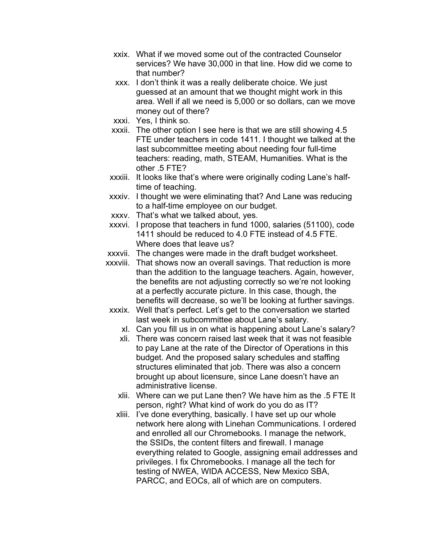- xxix. What if we moved some out of the contracted Counselor services? We have 30,000 in that line. How did we come to that number?
- xxx. I don't think it was a really deliberate choice. We just guessed at an amount that we thought might work in this area. Well if all we need is 5,000 or so dollars, can we move money out of there?
- xxxi. Yes, I think so.
- xxxii. The other option I see here is that we are still showing 4.5 FTE under teachers in code 1411. I thought we talked at the last subcommittee meeting about needing four full-time teachers: reading, math, STEAM, Humanities. What is the other .5 FTE?
- xxxiii. It looks like that's where were originally coding Lane's halftime of teaching.
- xxxiv. I thought we were eliminating that? And Lane was reducing to a half-time employee on our budget.
- xxxv. That's what we talked about, yes.
- xxxvi. I propose that teachers in fund 1000, salaries (51100), code 1411 should be reduced to 4.0 FTE instead of 4.5 FTE. Where does that leave us?
- xxxvii. The changes were made in the draft budget worksheet.
- xxxviii. That shows now an overall savings. That reduction is more than the addition to the language teachers. Again, however, the benefits are not adjusting correctly so we're not looking at a perfectly accurate picture. In this case, though, the benefits will decrease, so we'll be looking at further savings.
- xxxix. Well that's perfect. Let's get to the conversation we started last week in subcommittee about Lane's salary.
	- xl. Can you fill us in on what is happening about Lane's salary?
	- xli. There was concern raised last week that it was not feasible to pay Lane at the rate of the Director of Operations in this budget. And the proposed salary schedules and staffing structures eliminated that job. There was also a concern brought up about licensure, since Lane doesn't have an administrative license.
	- xlii. Where can we put Lane then? We have him as the .5 FTE It person, right? What kind of work do you do as IT?
	- xliii. I've done everything, basically. I have set up our whole network here along with Linehan Communications. I ordered and enrolled all our Chromebooks. I manage the network, the SSIDs, the content filters and firewall. I manage everything related to Google, assigning email addresses and privileges. I fix Chromebooks. I manage all the tech for testing of NWEA, WIDA ACCESS, New Mexico SBA, PARCC, and EOCs, all of which are on computers.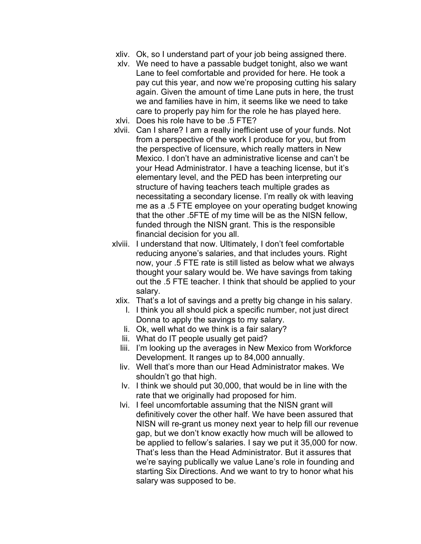- xliv. Ok, so I understand part of your job being assigned there.
- xlv. We need to have a passable budget tonight, also we want Lane to feel comfortable and provided for here. He took a pay cut this year, and now we're proposing cutting his salary again. Given the amount of time Lane puts in here, the trust we and families have in him, it seems like we need to take care to properly pay him for the role he has played here.
- xlvi. Does his role have to be .5 FTE?
- xlvii. Can I share? I am a really inefficient use of your funds. Not from a perspective of the work I produce for you, but from the perspective of licensure, which really matters in New Mexico. I don't have an administrative license and can't be your Head Administrator. I have a teaching license, but it's elementary level, and the PED has been interpreting our structure of having teachers teach multiple grades as necessitating a secondary license. I'm really ok with leaving me as a .5 FTE employee on your operating budget knowing that the other .5FTE of my time will be as the NISN fellow, funded through the NISN grant. This is the responsible financial decision for you all.
- xlviii. I understand that now. Ultimately, I don't feel comfortable reducing anyone's salaries, and that includes yours. Right now, your .5 FTE rate is still listed as below what we always thought your salary would be. We have savings from taking out the .5 FTE teacher. I think that should be applied to your salary.
	- xlix. That's a lot of savings and a pretty big change in his salary.
		- l. I think you all should pick a specific number, not just direct Donna to apply the savings to my salary.
		- li. Ok, well what do we think is a fair salary?
		- lii. What do IT people usually get paid?
		- liii. I'm looking up the averages in New Mexico from Workforce Development. It ranges up to 84,000 annually.
		- liv. Well that's more than our Head Administrator makes. We shouldn't go that high.
		- lv. I think we should put 30,000, that would be in line with the rate that we originally had proposed for him.
		- lvi. I feel uncomfortable assuming that the NISN grant will definitively cover the other half. We have been assured that NISN will re-grant us money next year to help fill our revenue gap, but we don't know exactly how much will be allowed to be applied to fellow's salaries. I say we put it 35,000 for now. That's less than the Head Administrator. But it assures that we're saying publically we value Lane's role in founding and starting Six Directions. And we want to try to honor what his salary was supposed to be.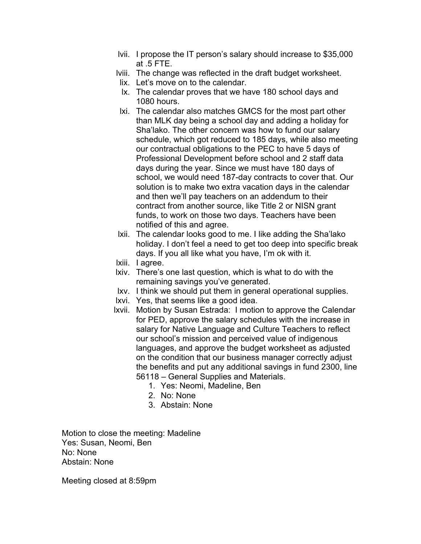- lvii. I propose the IT person's salary should increase to \$35,000 at .5 FTE.
- lviii. The change was reflected in the draft budget worksheet.
- lix. Let's move on to the calendar.
- lx. The calendar proves that we have 180 school days and 1080 hours.
- lxi. The calendar also matches GMCS for the most part other than MLK day being a school day and adding a holiday for Sha'lako. The other concern was how to fund our salary schedule, which got reduced to 185 days, while also meeting our contractual obligations to the PEC to have 5 days of Professional Development before school and 2 staff data days during the year. Since we must have 180 days of school, we would need 187-day contracts to cover that. Our solution is to make two extra vacation days in the calendar and then we'll pay teachers on an addendum to their contract from another source, like Title 2 or NISN grant funds, to work on those two days. Teachers have been notified of this and agree.
- lxii. The calendar looks good to me. I like adding the Sha'lako holiday. I don't feel a need to get too deep into specific break days. If you all like what you have, I'm ok with it.
- lxiii. I agree.
- lxiv. There's one last question, which is what to do with the remaining savings you've generated.
- lxv. I think we should put them in general operational supplies.
- lxvi. Yes, that seems like a good idea.
- lxvii. Motion by Susan Estrada: I motion to approve the Calendar for PED, approve the salary schedules with the increase in salary for Native Language and Culture Teachers to reflect our school's mission and perceived value of indigenous languages, and approve the budget worksheet as adjusted on the condition that our business manager correctly adjust the benefits and put any additional savings in fund 2300, line 56118 – General Supplies and Materials.
	- 1. Yes: Neomi, Madeline, Ben
	- 2. No: None
	- 3. Abstain: None

Motion to close the meeting: Madeline Yes: Susan, Neomi, Ben No: None Abstain: None

Meeting closed at 8:59pm